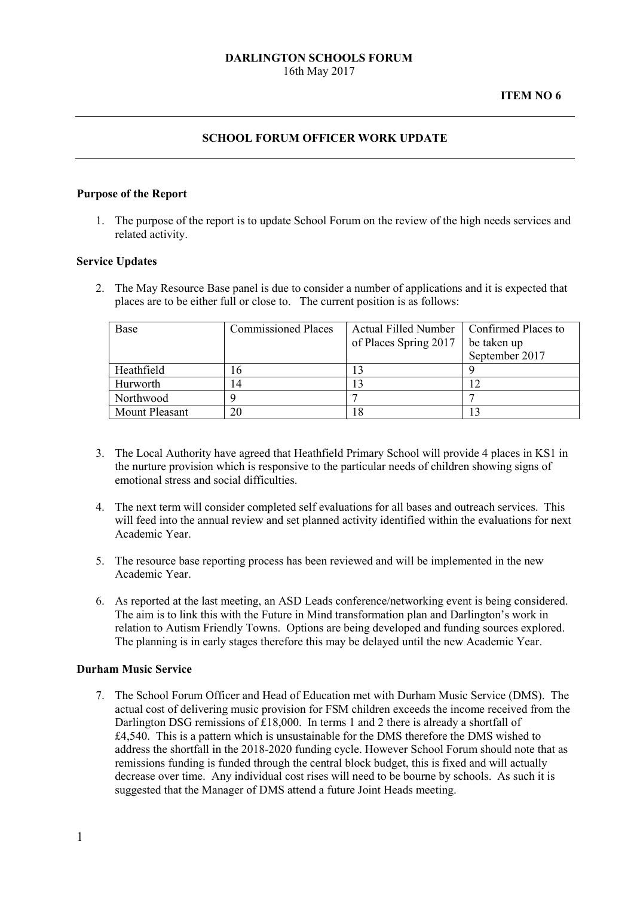## **SCHOOL FORUM OFFICER WORK UPDATE**

#### **Purpose of the Report**

1. The purpose of the report is to update School Forum on the review of the high needs services and related activity.

#### **Service Updates**

2. The May Resource Base panel is due to consider a number of applications and it is expected that places are to be either full or close to. The current position is as follows:

| Base           | <b>Commissioned Places</b> | <b>Actual Filled Number</b> | Confirmed Places to |
|----------------|----------------------------|-----------------------------|---------------------|
|                |                            | of Places Spring 2017       | be taken up         |
|                |                            |                             | September 2017      |
| Heathfield     | 16                         |                             |                     |
| Hurworth       | 14                         |                             |                     |
| Northwood      |                            |                             |                     |
| Mount Pleasant | 20                         | -8                          |                     |

- 3. The Local Authority have agreed that Heathfield Primary School will provide 4 places in KS1 in the nurture provision which is responsive to the particular needs of children showing signs of emotional stress and social difficulties.
- 4. The next term will consider completed self evaluations for all bases and outreach services. This will feed into the annual review and set planned activity identified within the evaluations for next Academic Year.
- 5. The resource base reporting process has been reviewed and will be implemented in the new Academic Year.
- 6. As reported at the last meeting, an ASD Leads conference/networking event is being considered. The aim is to link this with the Future in Mind transformation plan and Darlington's work in relation to Autism Friendly Towns. Options are being developed and funding sources explored. The planning is in early stages therefore this may be delayed until the new Academic Year.

### **Durham Music Service**

7. The School Forum Officer and Head of Education met with Durham Music Service (DMS). The actual cost of delivering music provision for FSM children exceeds the income received from the Darlington DSG remissions of £18,000. In terms 1 and 2 there is already a shortfall of £4,540. This is a pattern which is unsustainable for the DMS therefore the DMS wished to address the shortfall in the 2018-2020 funding cycle. However School Forum should note that as remissions funding is funded through the central block budget, this is fixed and will actually decrease over time. Any individual cost rises will need to be bourne by schools. As such it is suggested that the Manager of DMS attend a future Joint Heads meeting.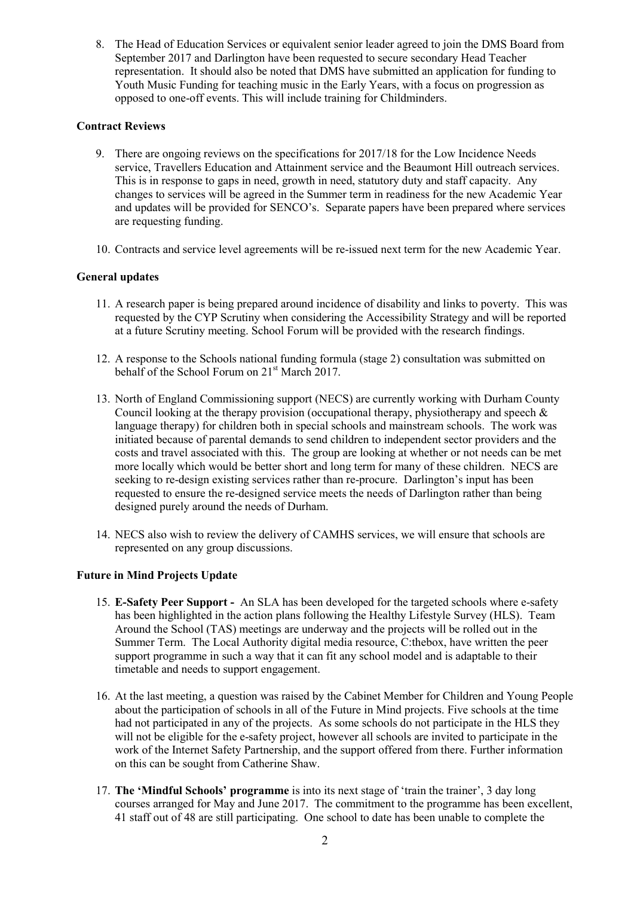8. The Head of Education Services or equivalent senior leader agreed to join the DMS Board from September 2017 and Darlington have been requested to secure secondary Head Teacher representation. It should also be noted that DMS have submitted an application for funding to Youth Music Funding for teaching music in the Early Years, with a focus on progression as opposed to one-off events. This will include training for Childminders.

# **Contract Reviews**

- 9. There are ongoing reviews on the specifications for 2017/18 for the Low Incidence Needs service, Travellers Education and Attainment service and the Beaumont Hill outreach services. This is in response to gaps in need, growth in need, statutory duty and staff capacity. Any changes to services will be agreed in the Summer term in readiness for the new Academic Year and updates will be provided for SENCO's. Separate papers have been prepared where services are requesting funding.
- 10. Contracts and service level agreements will be re-issued next term for the new Academic Year.

## **General updates**

- 11. A research paper is being prepared around incidence of disability and links to poverty. This was requested by the CYP Scrutiny when considering the Accessibility Strategy and will be reported at a future Scrutiny meeting. School Forum will be provided with the research findings.
- 12. A response to the Schools national funding formula (stage 2) consultation was submitted on behalf of the School Forum on 21<sup>st</sup> March 2017.
- 13. North of England Commissioning support (NECS) are currently working with Durham County Council looking at the therapy provision (occupational therapy, physiotherapy and speech  $\&$ language therapy) for children both in special schools and mainstream schools. The work was initiated because of parental demands to send children to independent sector providers and the costs and travel associated with this. The group are looking at whether or not needs can be met more locally which would be better short and long term for many of these children. NECS are seeking to re-design existing services rather than re-procure. Darlington's input has been requested to ensure the re-designed service meets the needs of Darlington rather than being designed purely around the needs of Durham.
- 14. NECS also wish to review the delivery of CAMHS services, we will ensure that schools are represented on any group discussions.

### **Future in Mind Projects Update**

- 15. **E-Safety Peer Support** An SLA has been developed for the targeted schools where e-safety has been highlighted in the action plans following the Healthy Lifestyle Survey (HLS). Team Around the School (TAS) meetings are underway and the projects will be rolled out in the Summer Term. The Local Authority digital media resource, C:thebox, have written the peer support programme in such a way that it can fit any school model and is adaptable to their timetable and needs to support engagement.
- 16. At the last meeting, a question was raised by the Cabinet Member for Children and Young People about the participation of schools in all of the Future in Mind projects. Five schools at the time had not participated in any of the projects. As some schools do not participate in the HLS they will not be eligible for the e-safety project, however all schools are invited to participate in the work of the Internet Safety Partnership, and the support offered from there. Further information on this can be sought from Catherine Shaw.
- 17. **The 'Mindful Schools' programme** is into its next stage of 'train the trainer', 3 day long courses arranged for May and June 2017. The commitment to the programme has been excellent, 41 staff out of 48 are still participating. One school to date has been unable to complete the